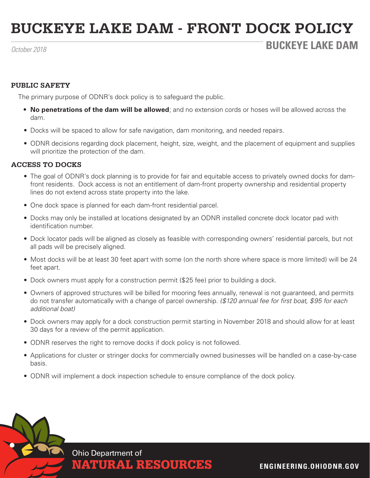# **BUCKEYE LAKE DAM - FRONT DOCK POLICY**

## *October 2018* **BUCKEYE LAKE DAM**

### **PUBLIC SAFETY**

The primary purpose of ODNR's dock policy is to safeguard the public.

- **• No penetrations of the dam will be allowed**; and no extension cords or hoses will be allowed across the dam.
- Docks will be spaced to allow for safe navigation, dam monitoring, and needed repairs.
- ODNR decisions regarding dock placement, height, size, weight, and the placement of equipment and supplies will prioritize the protection of the dam.

#### **ACCESS TO DOCKS**

- The goal of ODNR's dock planning is to provide for fair and equitable access to privately owned docks for damfront residents. Dock access is not an entitlement of dam-front property ownership and residential property lines do not extend across state property into the lake.
- One dock space is planned for each dam-front residential parcel.
- Docks may only be installed at locations designated by an ODNR installed concrete dock locator pad with identification number.
- Dock locator pads will be aligned as closely as feasible with corresponding owners' residential parcels, but not all pads will be precisely aligned.
- Most docks will be at least 30 feet apart with some (on the north shore where space is more limited) will be 24 feet apart.
- Dock owners must apply for a construction permit (\$25 fee) prior to building a dock.
- Owners of approved structures will be billed for mooring fees annually, renewal is not guaranteed, and permits do not transfer automatically with a change of parcel ownership. *(\$120 annual fee for first boat, \$95 for each additional boat)*
- Dock owners may apply for a dock construction permit starting in November 2018 and should allow for at least 30 days for a review of the permit application.
- ODNR reserves the right to remove docks if dock policy is not followed.
- Applications for cluster or stringer docks for commercially owned businesses will be handled on a case-by-case basis.
- ODNR will implement a dock inspection schedule to ensure compliance of the dock policy.



NATURAL RESOURCES **ENGINEERING.OHIODNR.GOV**